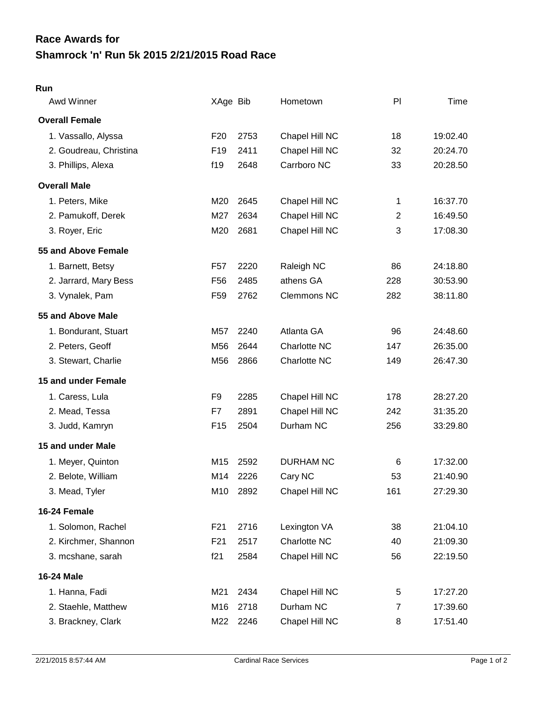## **Shamrock 'n' Run 5k 2015 2/21/2015 Road Race Race Awards for**

## **Run**

| Awd Winner             | XAge Bib        |      | Hometown           | PI  | Time     |
|------------------------|-----------------|------|--------------------|-----|----------|
| <b>Overall Female</b>  |                 |      |                    |     |          |
| 1. Vassallo, Alyssa    | F <sub>20</sub> | 2753 | Chapel Hill NC     | 18  | 19:02.40 |
| 2. Goudreau, Christina | F <sub>19</sub> | 2411 | Chapel Hill NC     | 32  | 20:24.70 |
| 3. Phillips, Alexa     | f19             | 2648 | Carrboro NC        | 33  | 20:28.50 |
| <b>Overall Male</b>    |                 |      |                    |     |          |
| 1. Peters, Mike        | M20             | 2645 | Chapel Hill NC     | 1   | 16:37.70 |
| 2. Pamukoff, Derek     | M27             | 2634 | Chapel Hill NC     | 2   | 16:49.50 |
| 3. Royer, Eric         | M20             | 2681 | Chapel Hill NC     | 3   | 17:08.30 |
| 55 and Above Female    |                 |      |                    |     |          |
| 1. Barnett, Betsy      | F <sub>57</sub> | 2220 | Raleigh NC         | 86  | 24:18.80 |
| 2. Jarrard, Mary Bess  | F <sub>56</sub> | 2485 | athens GA          | 228 | 30:53.90 |
| 3. Vynalek, Pam        | F <sub>59</sub> | 2762 | <b>Clemmons NC</b> | 282 | 38:11.80 |
| 55 and Above Male      |                 |      |                    |     |          |
| 1. Bondurant, Stuart   | M57             | 2240 | Atlanta GA         | 96  | 24:48.60 |
| 2. Peters, Geoff       | M56             | 2644 | Charlotte NC       | 147 | 26:35.00 |
| 3. Stewart, Charlie    | M56             | 2866 | Charlotte NC       | 149 | 26:47.30 |
| 15 and under Female    |                 |      |                    |     |          |
| 1. Caress, Lula        | F <sub>9</sub>  | 2285 | Chapel Hill NC     | 178 | 28:27.20 |
| 2. Mead, Tessa         | F7              | 2891 | Chapel Hill NC     | 242 | 31:35.20 |
| 3. Judd, Kamryn        | F <sub>15</sub> | 2504 | Durham NC          | 256 | 33:29.80 |
| 15 and under Male      |                 |      |                    |     |          |
| 1. Meyer, Quinton      | M15             | 2592 | <b>DURHAM NC</b>   | 6   | 17:32.00 |
| 2. Belote, William     | M14             | 2226 | Cary NC            | 53  | 21:40.90 |
| 3. Mead, Tyler         | M10             | 2892 | Chapel Hill NC     | 161 | 27:29.30 |
| 16-24 Female           |                 |      |                    |     |          |
| 1. Solomon, Rachel     | F <sub>21</sub> | 2716 | Lexington VA       | 38  | 21:04.10 |
| 2. Kirchmer, Shannon   | F <sub>21</sub> | 2517 | Charlotte NC       | 40  | 21:09.30 |
| 3. mcshane, sarah      | f21             | 2584 | Chapel Hill NC     | 56  | 22:19.50 |
| 16-24 Male             |                 |      |                    |     |          |
| 1. Hanna, Fadi         | M21             | 2434 | Chapel Hill NC     | 5   | 17:27.20 |
| 2. Staehle, Matthew    | M16             | 2718 | Durham NC          | 7   | 17:39.60 |
| 3. Brackney, Clark     | M22             | 2246 | Chapel Hill NC     | 8   | 17:51.40 |